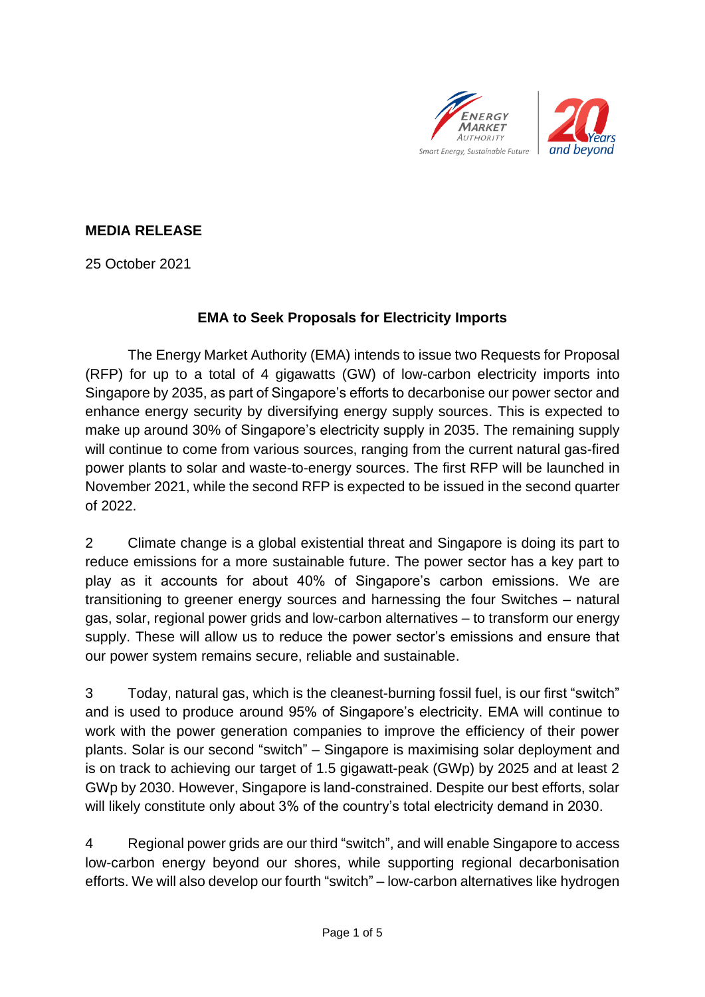



## **MEDIA RELEASE**

25 October 2021

### **EMA to Seek Proposals for Electricity Imports**

The Energy Market Authority (EMA) intends to issue two Requests for Proposal (RFP) for up to a total of 4 gigawatts (GW) of low-carbon electricity imports into Singapore by 2035, as part of Singapore's efforts to decarbonise our power sector and enhance energy security by diversifying energy supply sources. This is expected to make up around 30% of Singapore's electricity supply in 2035. The remaining supply will continue to come from various sources, ranging from the current natural gas-fired power plants to solar and waste-to-energy sources. The first RFP will be launched in November 2021, while the second RFP is expected to be issued in the second quarter of 2022.

2 Climate change is a global existential threat and Singapore is doing its part to reduce emissions for a more sustainable future. The power sector has a key part to play as it accounts for about 40% of Singapore's carbon emissions. We are transitioning to greener energy sources and harnessing the four Switches – natural gas, solar, regional power grids and low-carbon alternatives – to transform our energy supply. These will allow us to reduce the power sector's emissions and ensure that our power system remains secure, reliable and sustainable.

3 Today, natural gas, which is the cleanest-burning fossil fuel, is our first "switch" and is used to produce around 95% of Singapore's electricity. EMA will continue to work with the power generation companies to improve the efficiency of their power plants. Solar is our second "switch" – Singapore is maximising solar deployment and is on track to achieving our target of 1.5 gigawatt-peak (GWp) by 2025 and at least 2 GWp by 2030. However, Singapore is land-constrained. Despite our best efforts, solar will likely constitute only about 3% of the country's total electricity demand in 2030.

4 Regional power grids are our third "switch", and will enable Singapore to access low-carbon energy beyond our shores, while supporting regional decarbonisation efforts. We will also develop our fourth "switch" – low-carbon alternatives like hydrogen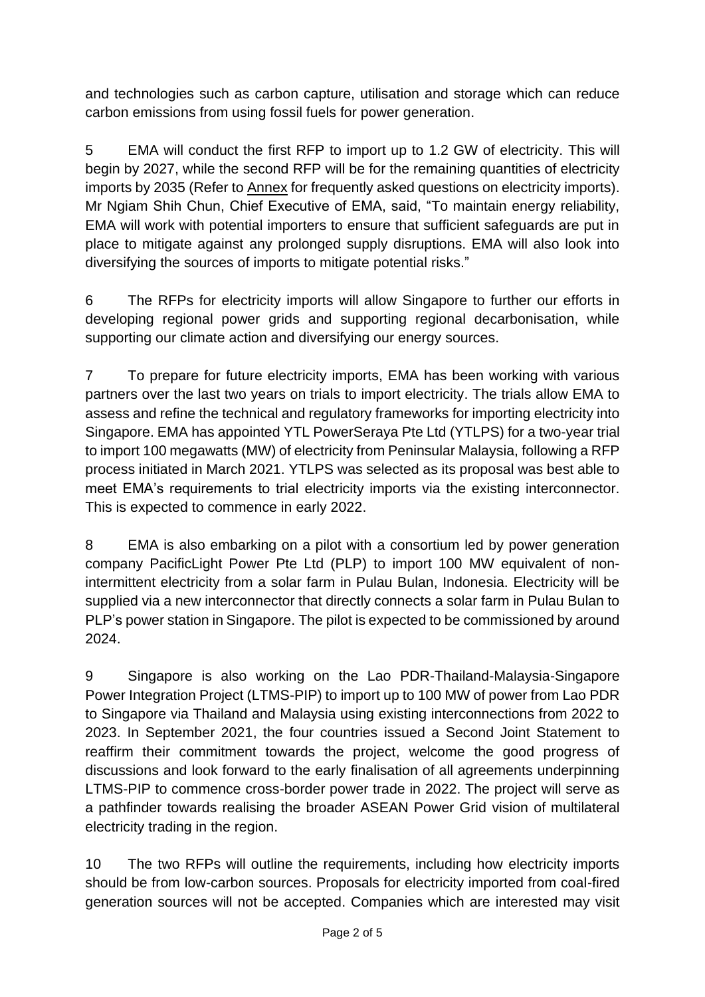and technologies such as carbon capture, utilisation and storage which can reduce carbon emissions from using fossil fuels for power generation.

5 EMA will conduct the first RFP to import up to 1.2 GW of electricity. This will begin by 2027, while the second RFP will be for the remaining quantities of electricity imports by 2035 (Refer to Annex for frequently asked questions on electricity imports). Mr Ngiam Shih Chun, Chief Executive of EMA, said, "To maintain energy reliability, EMA will work with potential importers to ensure that sufficient safeguards are put in place to mitigate against any prolonged supply disruptions. EMA will also look into diversifying the sources of imports to mitigate potential risks."

6 The RFPs for electricity imports will allow Singapore to further our efforts in developing regional power grids and supporting regional decarbonisation, while supporting our climate action and diversifying our energy sources.

7 To prepare for future electricity imports, EMA has been working with various partners over the last two years on trials to import electricity. The trials allow EMA to assess and refine the technical and regulatory frameworks for importing electricity into Singapore. EMA has appointed YTL PowerSeraya Pte Ltd (YTLPS) for a two-year trial to import 100 megawatts (MW) of electricity from Peninsular Malaysia, following a RFP process initiated in March 2021. YTLPS was selected as its proposal was best able to meet EMA's requirements to trial electricity imports via the existing interconnector. This is expected to commence in early 2022.

8 EMA is also embarking on a pilot with a consortium led by power generation company PacificLight Power Pte Ltd (PLP) to import 100 MW equivalent of nonintermittent electricity from a solar farm in Pulau Bulan, Indonesia. Electricity will be supplied via a new interconnector that directly connects a solar farm in Pulau Bulan to PLP's power station in Singapore. The pilot is expected to be commissioned by around 2024.

9 Singapore is also working on the Lao PDR-Thailand-Malaysia-Singapore Power Integration Project (LTMS-PIP) to import up to 100 MW of power from Lao PDR to Singapore via Thailand and Malaysia using existing interconnections from 2022 to 2023. In September 2021, the four countries issued a Second Joint Statement to reaffirm their commitment towards the project, welcome the good progress of discussions and look forward to the early finalisation of all agreements underpinning LTMS-PIP to commence cross-border power trade in 2022. The project will serve as a pathfinder towards realising the broader ASEAN Power Grid vision of multilateral electricity trading in the region.

10 The two RFPs will outline the requirements, including how electricity imports should be from low-carbon sources. Proposals for electricity imported from coal-fired generation sources will not be accepted. Companies which are interested may visit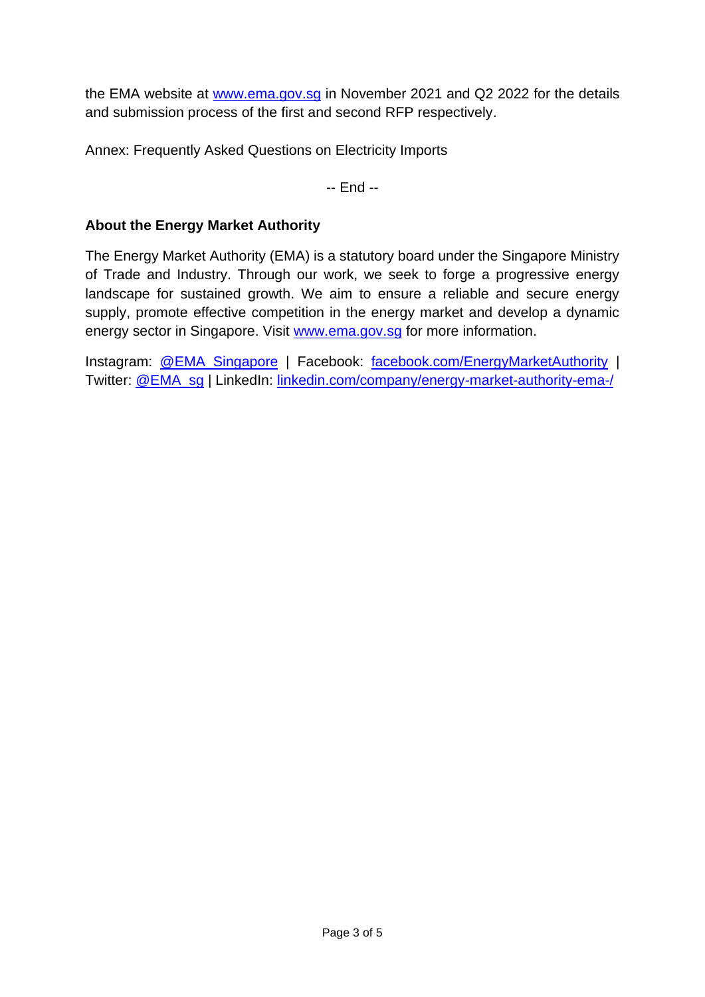the EMA website at [www.ema.gov.sg](http://www.ema.gov.sg/) in November 2021 and Q2 2022 for the details and submission process of the first and second RFP respectively.

Annex: Frequently Asked Questions on Electricity Imports

-- End --

#### **About the Energy Market Authority**

The Energy Market Authority (EMA) is a statutory board under the Singapore Ministry of Trade and Industry. Through our work, we seek to forge a progressive energy landscape for sustained growth. We aim to ensure a reliable and secure energy supply, promote effective competition in the energy market and develop a dynamic energy sector in Singapore. Visit [www.ema.gov.sg](http://www.ema.gov.sg/) for more information.

Instagram: [@EMA\\_Singapore](http://www.instagram.com/ema_singapore) | Facebook: [facebook.com/EnergyMarketAuthority](http://www.facebook.com/EnergyMarketAuthority) | Twitter: [@EMA\\_sg](http://www.twitter.com/ema_sg) | LinkedIn: [linkedin.com/company/energy-market-authority-ema-/](https://www.linkedin.com/company/energy-market-authority-ema-/)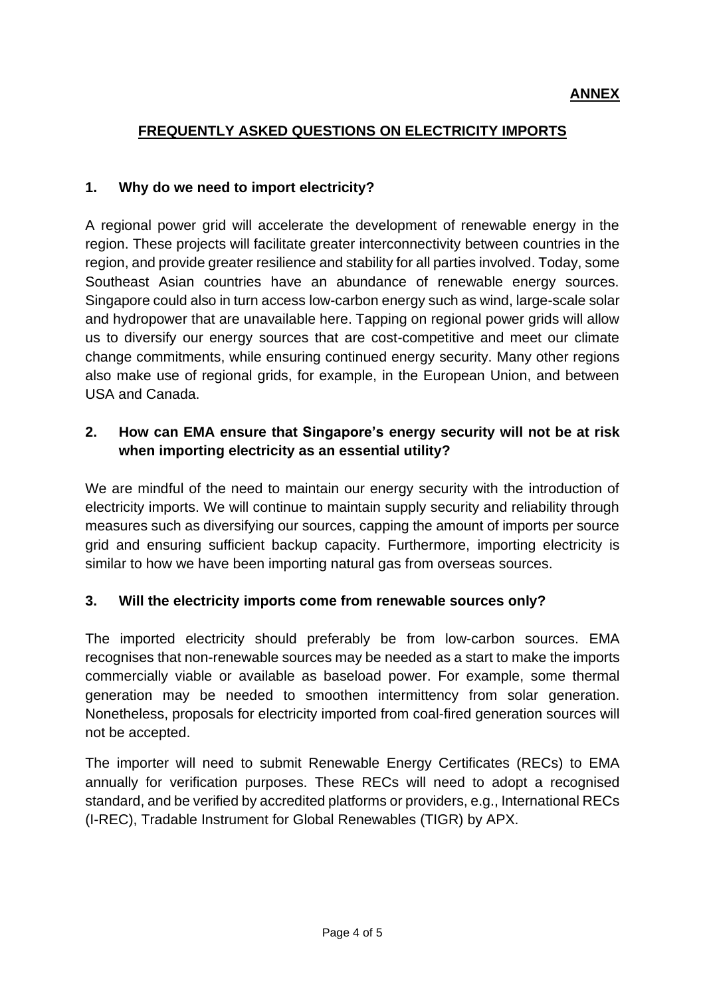# **FREQUENTLY ASKED QUESTIONS ON ELECTRICITY IMPORTS**

#### **1. Why do we need to import electricity?**

A regional power grid will accelerate the development of renewable energy in the region. These projects will facilitate greater interconnectivity between countries in the region, and provide greater resilience and stability for all parties involved. Today, some Southeast Asian countries have an abundance of renewable energy sources. Singapore could also in turn access low-carbon energy such as wind, large-scale solar and hydropower that are unavailable here. Tapping on regional power grids will allow us to diversify our energy sources that are cost-competitive and meet our climate change commitments, while ensuring continued energy security. Many other regions also make use of regional grids, for example, in the European Union, and between USA and Canada.

### **2. How can EMA ensure that Singapore's energy security will not be at risk when importing electricity as an essential utility?**

We are mindful of the need to maintain our energy security with the introduction of electricity imports. We will continue to maintain supply security and reliability through measures such as diversifying our sources, capping the amount of imports per source grid and ensuring sufficient backup capacity. Furthermore, importing electricity is similar to how we have been importing natural gas from overseas sources.

#### **3. Will the electricity imports come from renewable sources only?**

The imported electricity should preferably be from low-carbon sources. EMA recognises that non-renewable sources may be needed as a start to make the imports commercially viable or available as baseload power. For example, some thermal generation may be needed to smoothen intermittency from solar generation. Nonetheless, proposals for electricity imported from coal-fired generation sources will not be accepted.

The importer will need to submit Renewable Energy Certificates (RECs) to EMA annually for verification purposes. These RECs will need to adopt a recognised standard, and be verified by accredited platforms or providers, e.g., International RECs (I-REC), Tradable Instrument for Global Renewables (TIGR) by APX.